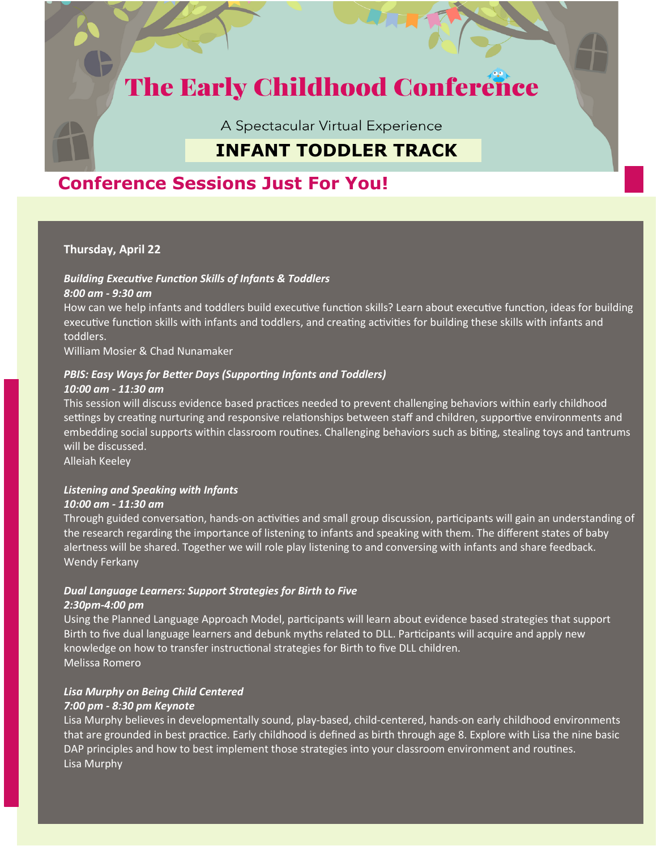# **The Early Childhood Conference**

A Spectacular Virtual Experience

# **INFANT TODDLER TRACK**

## **Conference Sessions Just For You!**

### **Thursday, April 22**

#### *Building Executive Function Skills of Infants & Toddlers 8:00 am - 9:30 am*

How can we help infants and toddlers build executive function skills? Learn about executive function, ideas for building executive function skills with infants and toddlers, and creating activities for building these skills with infants and toddlers.

William Mosier & Chad Nunamaker

### *PBIS: Easy Ways for Better Days (Supporting Infants and Toddlers)*

#### *10:00 am - 11:30 am*

This session will discuss evidence based practices needed to prevent challenging behaviors within early childhood settings by creating nurturing and responsive relationships between staff and children, supportive environments and embedding social supports within classroom routines. Challenging behaviors such as biting, stealing toys and tantrums will be discussed.

Alleiah Keeley

#### *Listening and Speaking with Infants 10:00 am - 11:30 am*

Through guided conversation, hands-on activities and small group discussion, participants will gain an understanding of the research regarding the importance of listening to infants and speaking with them. The different states of baby alertness will be shared. Together we will role play listening to and conversing with infants and share feedback. Wendy Ferkany

#### *Dual Language Learners: Support Strategies for Birth to Five 2:30pm-4:00 pm*

Using the Planned Language Approach Model, participants will learn about evidence based strategies that support Birth to five dual language learners and debunk myths related to DLL. Participants will acquire and apply new knowledge on how to transfer instructional strategies for Birth to five DLL children. Melissa Romero

### *Lisa Murphy on Being Child Centered*

#### *7:00 pm - 8:30 pm Keynote*

Lisa Murphy believes in developmentally sound, play-based, child-centered, hands-on early childhood environments that are grounded in best practice. Early childhood is defined as birth through age 8. Explore with Lisa the nine basic DAP principles and how to best implement those strategies into your classroom environment and routines. Lisa Murphy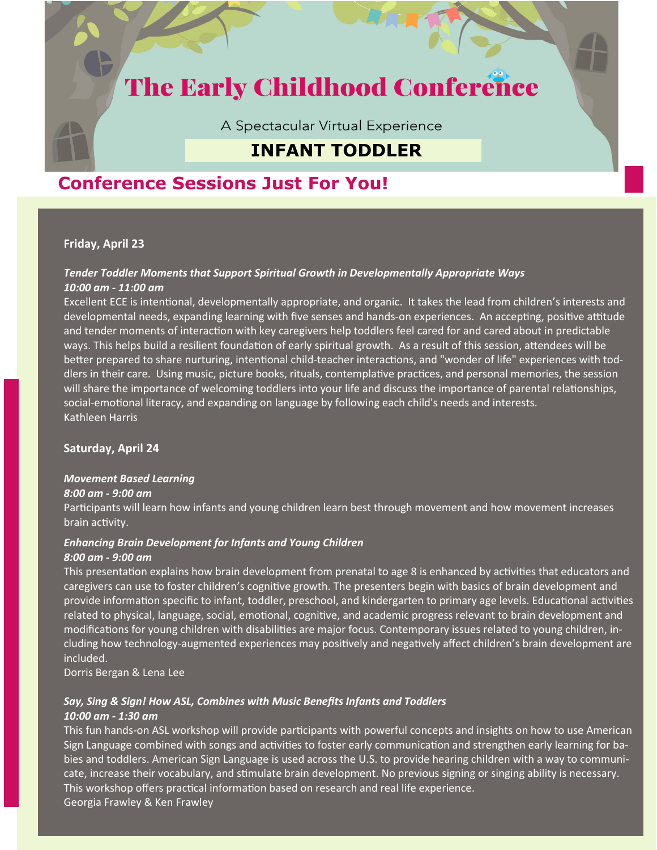# **The Early Childhood Conference**

A Spectacular Virtual Experience

### **INFANT TODDLER**

## **Conference Sessions Just For You!**

### **Friday, April 23**

#### *Tender Toddler Moments that Support Spiritual Growth in Developmentally Appropriate Ways 10:00 am - 11:00 am*

Excellent ECE is intentional, developmentally appropriate, and organic. It takes the lead from children's interests and developmental needs, expanding learning with five senses and hands-on experiences. An accepting, positive attitude and tender moments of interaction with key caregivers help toddlers feel cared for and cared about in predictable ways. This helps build a resilient foundation of early spiritual growth. As a result of this session, attendees will be better prepared to share nurturing, intentional child-teacher interactions, and "wonder of life" experiences with toddlers in their care. Using music, picture books, rituals, contemplative practices, and personal memories, the session will share the importance of welcoming toddlers into your life and discuss the importance of parental relationships, social-emotional literacy, and expanding on language by following each child's needs and interests. Kathleen Harris

### **Saturday, April 24**

#### *Movement Based Learning*

#### *8:00 am - 9:00 am*

Participants will learn how infants and young children learn best through movement and how movement increases brain activity.

#### *Enhancing Brain Development for Infants and Young Children 8:00 am - 9:00 am*

This presentation explains how brain development from prenatal to age 8 is enhanced by activities that educators and caregivers can use to foster children's cognitive growth. The presenters begin with basics of brain development and provide information specific to infant, toddler, preschool, and kindergarten to primary age levels. Educational activities related to physical, language, social, emotional, cognitive, and academic progress relevant to brain development and modifications for young children with disabilities are major focus. Contemporary issues related to young children, including how technology-augmented experiences may positively and negatively affect children's brain development are included.

Dorris Bergan & Lena Lee

### *Say, Sing & Sign! How ASL, Combines with Music Benefits Infants and Toddlers*

#### *10:00 am - 1:30 am*

This fun hands-on ASL workshop will provide participants with powerful concepts and insights on how to use American Sign Language combined with songs and activities to foster early communication and strengthen early learning for babies and toddlers. American Sign Language is used across the U.S. to provide hearing children with a way to communicate, increase their vocabulary, and stimulate brain development. No previous signing or singing ability is necessary. This workshop offers practical information based on research and real life experience. Georgia Frawley & Ken Frawley